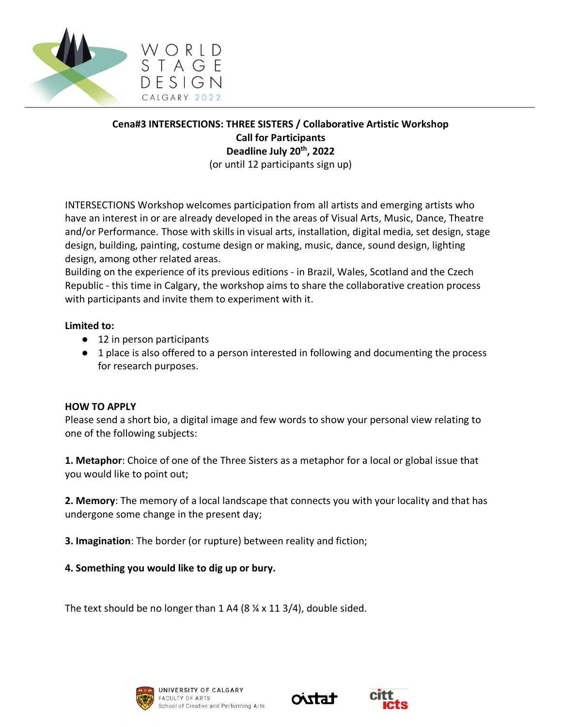

## **Cena#3 INTERSECTIONS: THREE SISTERS / Collaborative Artistic Workshop Call for Participants Deadline July 20th, 2022** (or until 12 participants sign up)

INTERSECTIONS Workshop welcomes participation from all artists and emerging artists who have an interest in or are already developed in the areas of Visual Arts, Music, Dance, Theatre and/or Performance. Those with skills in visual arts, installation, digital media, set design, stage design, building, painting, costume design or making, music, dance, sound design, lighting design, among other related areas.

Building on the experience of its previous editions - in Brazil, Wales, Scotland and the Czech Republic - this time in Calgary, the workshop aims to share the collaborative creation process with participants and invite them to experiment with it.

## **Limited to:**

- 12 in person participants
- 1 place is also offered to a person interested in following and documenting the process for research purposes.

## **HOW TO APPLY**

Please send a short bio, a digital image and few words to show your personal view relating to one of the following subjects:

**1. Metaphor**: Choice of one of the Three Sisters as a metaphor for a local or global issue that you would like to point out;

**2. Memory**: The memory of a local landscape that connects you with your locality and that has undergone some change in the present day;

**3. Imagination**: The border (or rupture) between reality and fiction;

## **4. Something you would like to dig up or bury.**

The text should be no longer than 1 A4 (8 ¼ x 11 3/4), double sided.